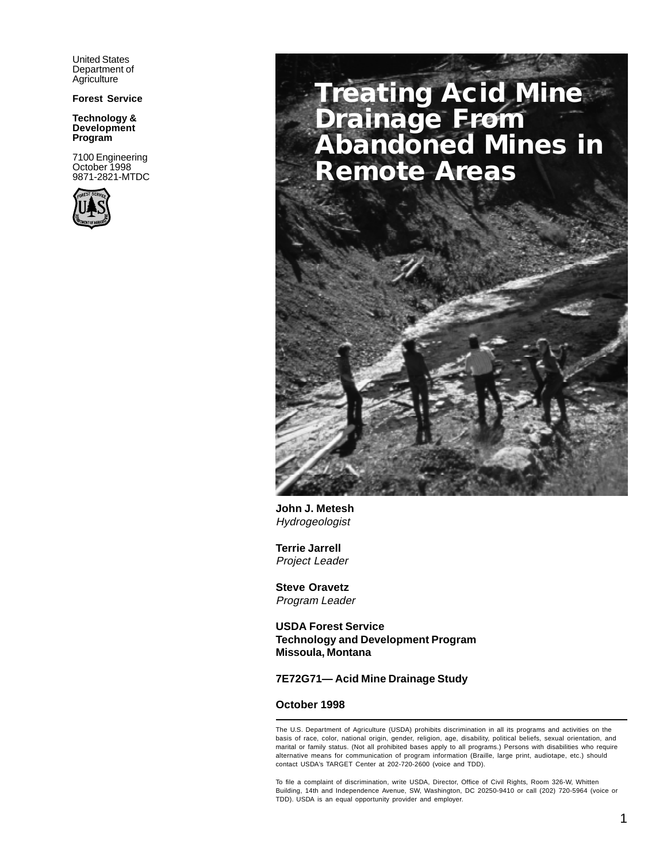United States Department of **Agriculture** 

**Forest Service**

**Technology & Development Program**

7100 Engineering October 1998 9871-2821-MTDC



# **Treating Acid Mine Drainage From Abandoned Mines in Remote Areas**



**John J. Metesh** Hydrogeologist

**Terrie Jarrell** Project Leader

**Steve Oravetz** Program Leader

**USDA Forest Service Technology and Development Program Missoula, Montana**

#### **7E72G71— Acid Mine Drainage Study**

#### **October 1998**

The U.S. Department of Agriculture (USDA) prohibits discrimination in all its programs and activities on the basis of race, color, national origin, gender, religion, age, disability, political beliefs, sexual orientation, and marital or family status. (Not all prohibited bases apply to all programs.) Persons with disabilities who require alternative means for communication of program information (Braille, large print, audiotape, etc.) should contact USDA's TARGET Center at 202-720-2600 (voice and TDD).

To file a complaint of discrimination, write USDA, Director, Office of Civil Rights, Room 326-W, Whitten Building, 14th and Independence Avenue, SW, Washington, DC 20250-9410 or call (202) 720-5964 (voice or TDD). USDA is an equal opportunity provider and employer.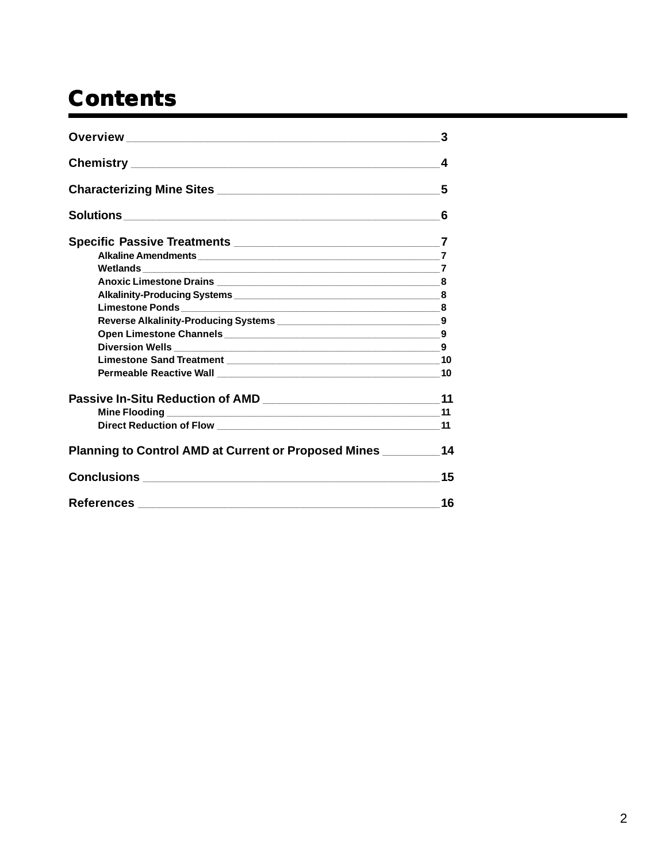# **Contents**

|                                                      | 3  |
|------------------------------------------------------|----|
|                                                      | 4  |
|                                                      | 5  |
|                                                      | 6  |
|                                                      |    |
| Alkaline Amendments 7                                |    |
|                                                      |    |
|                                                      | 8  |
|                                                      |    |
|                                                      | 8  |
|                                                      |    |
|                                                      | 9  |
|                                                      | 9  |
|                                                      |    |
|                                                      | 10 |
|                                                      | 11 |
|                                                      | 11 |
|                                                      | 11 |
| Planning to Control AMD at Current or Proposed Mines | 14 |
|                                                      | 15 |
|                                                      | 16 |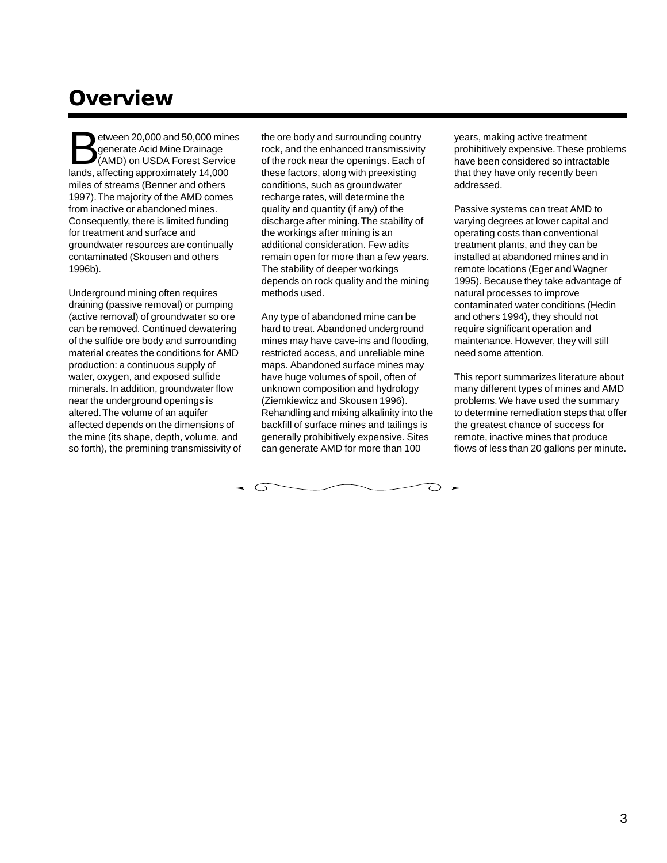## **Overview**

 $etween 20,000 and 50,000 mines$ generate Acid Mine Drainage (AMD) on USDA Forest Service lands, affecting approximately 14,000 miles of streams (Benner and others 1997). The majority of the AMD comes from inactive or abandoned mines. Consequently, there is limited funding for treatment and surface and groundwater resources are continually contaminated (Skousen and others 1996b).

Underground mining often requires draining (passive removal) or pumping (active removal) of groundwater so ore can be removed. Continued dewatering of the sulfide ore body and surrounding material creates the conditions for AMD production: a continuous supply of water, oxygen, and exposed sulfide minerals. In addition, groundwater flow near the underground openings is altered. The volume of an aquifer affected depends on the dimensions of the mine (its shape, depth, volume, and so forth), the premining transmissivity of the ore body and surrounding country rock, and the enhanced transmissivity of the rock near the openings. Each of these factors, along with preexisting conditions, such as groundwater recharge rates, will determine the quality and quantity (if any) of the discharge after mining. The stability of the workings after mining is an additional consideration. Few adits remain open for more than a few years. The stability of deeper workings depends on rock quality and the mining methods used.

Any type of abandoned mine can be hard to treat. Abandoned underground mines may have cave-ins and flooding, restricted access, and unreliable mine maps. Abandoned surface mines may have huge volumes of spoil, often of unknown composition and hydrology (Ziemkiewicz and Skousen 1996). Rehandling and mixing alkalinity into the backfill of surface mines and tailings is generally prohibitively expensive. Sites can generate AMD for more than 100

 $\overline{\phantom{0}}$ 

years, making active treatment prohibitively expensive. These problems have been considered so intractable that they have only recently been addressed.

Passive systems can treat AMD to varying degrees at lower capital and operating costs than conventional treatment plants, and they can be installed at abandoned mines and in remote locations (Eger and Wagner 1995). Because they take advantage of natural processes to improve contaminated water conditions (Hedin and others 1994), they should not require significant operation and maintenance. However, they will still need some attention.

This report summarizes literature about many different types of mines and AMD problems. We have used the summary to determine remediation steps that offer the greatest chance of success for remote, inactive mines that produce flows of less than 20 gallons per minute.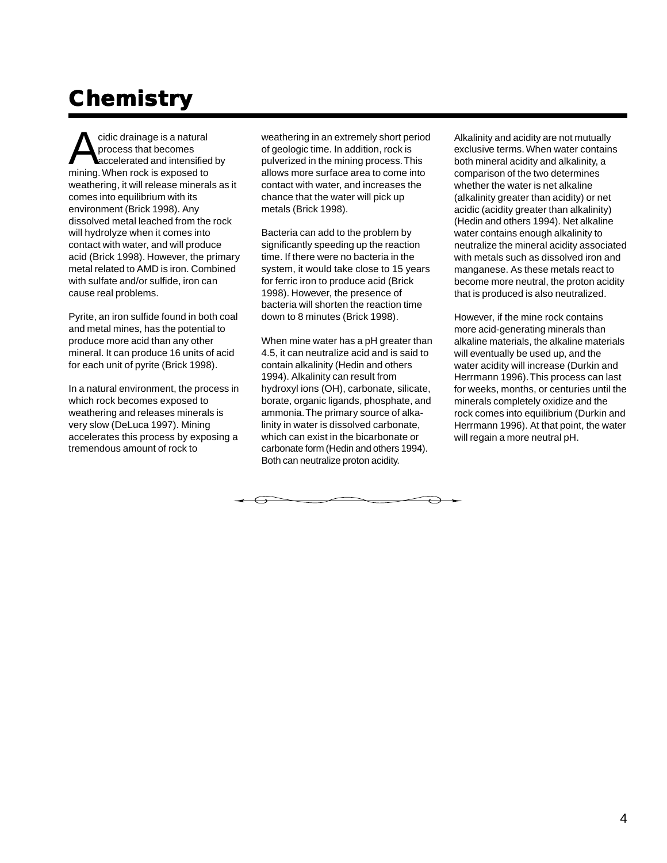# **Chemistr Chemistry**

cidic drainage is a natural process that becomes accelerated and intensified by mining. When rock is exposed to weathering, it will release minerals as it comes into equilibrium with its environment (Brick 1998). Any dissolved metal leached from the rock will hydrolyze when it comes into contact with water, and will produce acid (Brick 1998). However, the primary metal related to AMD is iron. Combined with sulfate and/or sulfide, iron can cause real problems.

Pyrite, an iron sulfide found in both coal and metal mines, has the potential to produce more acid than any other mineral. It can produce 16 units of acid for each unit of pyrite (Brick 1998).

In a natural environment, the process in which rock becomes exposed to weathering and releases minerals is very slow (DeLuca 1997). Mining accelerates this process by exposing a tremendous amount of rock to

weathering in an extremely short period of geologic time. In addition, rock is pulverized in the mining process. This allows more surface area to come into contact with water, and increases the chance that the water will pick up metals (Brick 1998).

Bacteria can add to the problem by significantly speeding up the reaction time. If there were no bacteria in the system, it would take close to 15 years for ferric iron to produce acid (Brick 1998). However, the presence of bacteria will shorten the reaction time down to 8 minutes (Brick 1998).

When mine water has a pH greater than 4.5, it can neutralize acid and is said to contain alkalinity (Hedin and others 1994). Alkalinity can result from hydroxyl ions (OH), carbonate, silicate, borate, organic ligands, phosphate, and ammonia. The primary source of alkalinity in water is dissolved carbonate, which can exist in the bicarbonate or carbonate form (Hedin and others 1994). Both can neutralize proton acidity.

Alkalinity and acidity are not mutually exclusive terms. When water contains both mineral acidity and alkalinity, a comparison of the two determines whether the water is net alkaline (alkalinity greater than acidity) or net acidic (acidity greater than alkalinity) (Hedin and others 1994). Net alkaline water contains enough alkalinity to neutralize the mineral acidity associated with metals such as dissolved iron and manganese. As these metals react to become more neutral, the proton acidity that is produced is also neutralized.

However, if the mine rock contains more acid-generating minerals than alkaline materials, the alkaline materials will eventually be used up, and the water acidity will increase (Durkin and Herrmann 1996). This process can last for weeks, months, or centuries until the minerals completely oxidize and the rock comes into equilibrium (Durkin and Herrmann 1996). At that point, the water will regain a more neutral pH.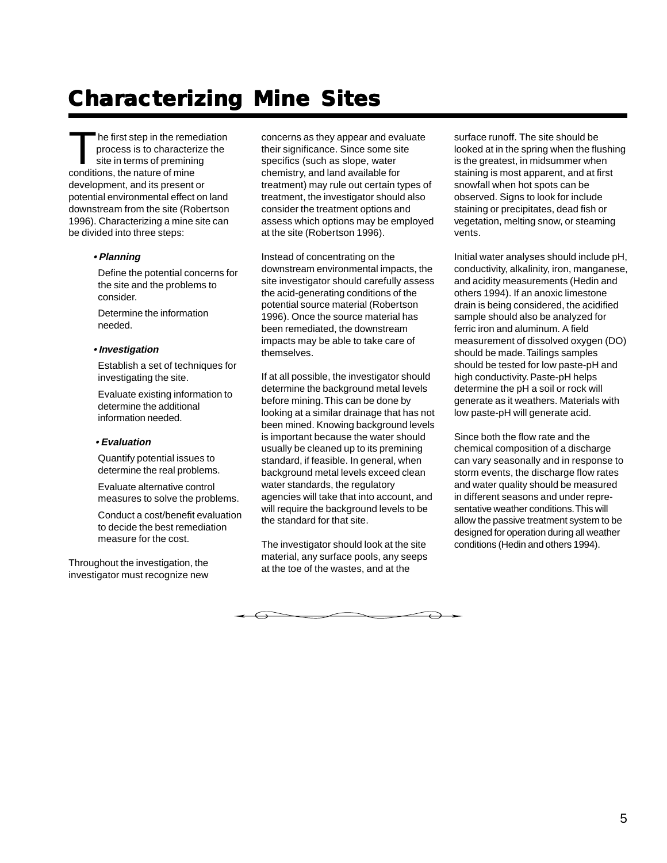## **Characterizing Mine Sites Characterizing Mine**

The first step in the remediation process is to characterize the site in terms of premining conditions, the nature of mine development, and its present or potential environmental effect on land downstream from the site (Robertson 1996). Characterizing a mine site can be divided into three steps:

#### **• Planning**

Define the potential concerns for the site and the problems to consider.

Determine the information needed.

#### **• Investigation**

Establish a set of techniques for investigating the site.

Evaluate existing information to determine the additional information needed.

#### **• Evaluation**

Quantify potential issues to determine the real problems.

Evaluate alternative control measures to solve the problems.

Conduct a cost/benefit evaluation to decide the best remediation measure for the cost.

Throughout the investigation, the investigator must recognize new concerns as they appear and evaluate their significance. Since some site specifics (such as slope, water chemistry, and land available for treatment) may rule out certain types of treatment, the investigator should also consider the treatment options and assess which options may be employed at the site (Robertson 1996).

Instead of concentrating on the downstream environmental impacts, the site investigator should carefully assess the acid-generating conditions of the potential source material (Robertson 1996). Once the source material has been remediated, the downstream impacts may be able to take care of themselves.

If at all possible, the investigator should determine the background metal levels before mining. This can be done by looking at a similar drainage that has not been mined. Knowing background levels is important because the water should usually be cleaned up to its premining standard, if feasible. In general, when background metal levels exceed clean water standards, the regulatory agencies will take that into account, and will require the background levels to be the standard for that site.

The investigator should look at the site material, any surface pools, any seeps at the toe of the wastes, and at the

surface runoff. The site should be looked at in the spring when the flushing is the greatest, in midsummer when staining is most apparent, and at first snowfall when hot spots can be observed. Signs to look for include staining or precipitates, dead fish or vegetation, melting snow, or steaming vents.

Initial water analyses should include pH, conductivity, alkalinity, iron, manganese, and acidity measurements (Hedin and others 1994). If an anoxic limestone drain is being considered, the acidified sample should also be analyzed for ferric iron and aluminum. A field measurement of dissolved oxygen (DO) should be made. Tailings samples should be tested for low paste-pH and high conductivity. Paste-pH helps determine the pH a soil or rock will generate as it weathers. Materials with low paste-pH will generate acid.

Since both the flow rate and the chemical composition of a discharge can vary seasonally and in response to storm events, the discharge flow rates and water quality should be measured in different seasons and under representative weather conditions. This will allow the passive treatment system to be designed for operation during all weather conditions (Hedin and others 1994).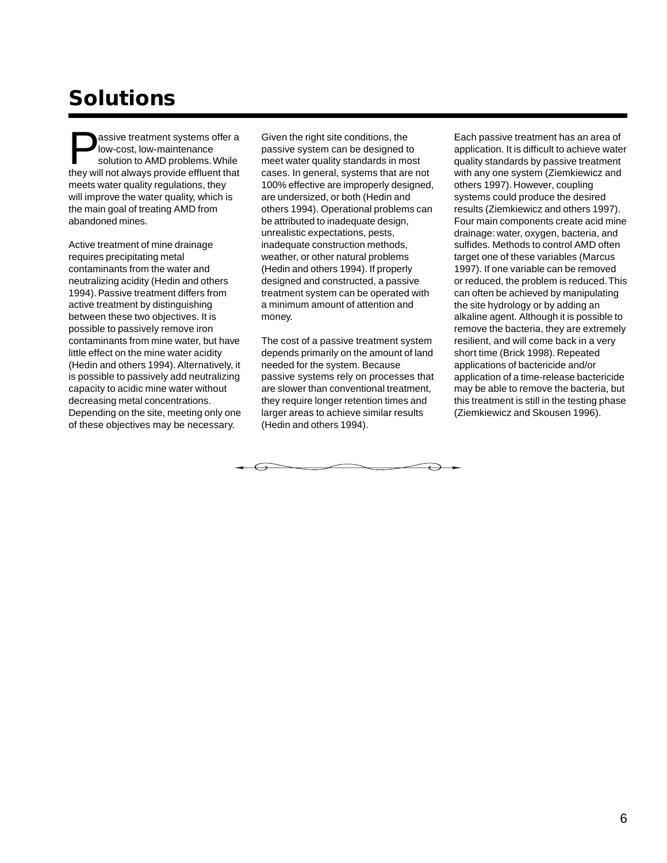## **Solutions**

assive treatment systems offer a low-cost, low-maintenance solution to AMD problems. While they will not always provide effluent that meets water quality regulations, they will improve the water quality, which is the main goal of treating AMD from abandoned mines.

Active treatment of mine drainage requires precipitating metal contaminants from the water and neutralizing acidity (Hedin and others 1994). Passive treatment differs from active treatment by distinguishing between these two objectives. It is possible to passively remove iron contaminants from mine water, but have little effect on the mine water acidity (Hedin and others 1994). Alternatively, it is possible to passively add neutralizing capacity to acidic mine water without decreasing metal concentrations. Depending on the site, meeting only one of these objectives may be necessary.

Given the right site conditions, the passive system can be designed to meet water quality standards in most cases. In general, systems that are not 100% effective are improperly designed, are undersized, or both (Hedin and others 1994). Operational problems can be attributed to inadequate design, unrealistic expectations, pests, inadequate construction methods, weather, or other natural problems (Hedin and others 1994). If properly designed and constructed, a passive treatment system can be operated with a minimum amount of attention and money.

The cost of a passive treatment system depends primarily on the amount of land needed for the system. Because passive systems rely on processes that are slower than conventional treatment, they require longer retention times and larger areas to achieve similar results (Hedin and others 1994).

Each passive treatment has an area of application. It is difficult to achieve water quality standards by passive treatment with any one system (Ziemkiewicz and others 1997). However, coupling systems could produce the desired results (Ziemkiewicz and others 1997). Four main components create acid mine drainage: water, oxygen, bacteria, and sulfides. Methods to control AMD often target one of these variables (Marcus 1997). If one variable can be removed or reduced, the problem is reduced. This can often be achieved by manipulating the site hydrology or by adding an alkaline agent. Although it is possible to remove the bacteria, they are extremely resilient, and will come back in a very short time (Brick 1998). Repeated applications of bactericide and/or application of a time-release bactericide may be able to remove the bacteria, but this treatment is still in the testing phase (Ziemkiewicz and Skousen 1996).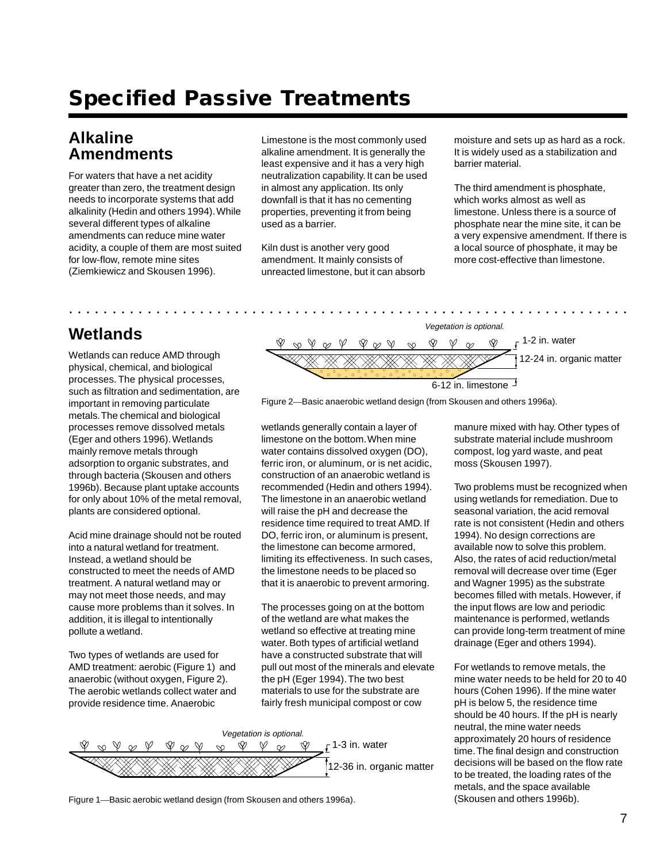## **Specified Passive Treatments**

### **Alkaline Amendments**

For waters that have a net acidity greater than zero, the treatment design needs to incorporate systems that add alkalinity (Hedin and others 1994). While several different types of alkaline amendments can reduce mine water acidity, a couple of them are most suited for low-flow, remote mine sites (Ziemkiewicz and Skousen 1996).

Limestone is the most commonly used alkaline amendment. It is generally the least expensive and it has a very high neutralization capability. It can be used in almost any application. Its only downfall is that it has no cementing properties, preventing it from being used as a barrier.

Kiln dust is another very good amendment. It mainly consists of unreacted limestone, but it can absorb

aaaaaaaaaaaaaaaaaa aaaaaaaaaaaaaaaaaaaaaaaaaaaaaaaaaaaaaaaaaaaaaaa

moisture and sets up as hard as a rock. It is widely used as a stabilization and barrier material.

The third amendment is phosphate, which works almost as well as limestone. Unless there is a source of phosphate near the mine site, it can be a very expensive amendment. If there is a local source of phosphate, it may be more cost-effective than limestone.

### **Wetlands**

Wetlands can reduce AMD through physical, chemical, and biological processes. The physical processes, such as filtration and sedimentation, are important in removing particulate metals. The chemical and biological processes remove dissolved metals (Eger and others 1996). Wetlands mainly remove metals through adsorption to organic substrates, and through bacteria (Skousen and others 1996b). Because plant uptake accounts for only about 10% of the metal removal, plants are considered optional.

Acid mine drainage should not be routed into a natural wetland for treatment. Instead, a wetland should be constructed to meet the needs of AMD treatment. A natural wetland may or may not meet those needs, and may cause more problems than it solves. In addition, it is illegal to intentionally pollute a wetland.

Two types of wetlands are used for AMD treatment: aerobic (Figure 1) and anaerobic (without oxygen, Figure 2). The aerobic wetlands collect water and provide residence time. Anaerobic



Figure 2—Basic anaerobic wetland design (from Skousen and others 1996a).

wetlands generally contain a layer of limestone on the bottom. When mine water contains dissolved oxygen (DO), ferric iron, or aluminum, or is net acidic, construction of an anaerobic wetland is recommended (Hedin and others 1994). The limestone in an anaerobic wetland will raise the pH and decrease the residence time required to treat AMD. If DO, ferric iron, or aluminum is present, the limestone can become armored, limiting its effectiveness. In such cases, the limestone needs to be placed so that it is anaerobic to prevent armoring.

The processes going on at the bottom of the wetland are what makes the wetland so effective at treating mine water. Both types of artificial wetland have a constructed substrate that will pull out most of the minerals and elevate the pH (Eger 1994). The two best materials to use for the substrate are fairly fresh municipal compost or cow



Figure 1—Basic aerobic wetland design (from Skousen and others 1996a).

manure mixed with hay. Other types of substrate material include mushroom compost, log yard waste, and peat moss (Skousen 1997).

Two problems must be recognized when using wetlands for remediation. Due to seasonal variation, the acid removal rate is not consistent (Hedin and others 1994). No design corrections are available now to solve this problem. Also, the rates of acid reduction/metal removal will decrease over time (Eger and Wagner 1995) as the substrate becomes filled with metals. However, if the input flows are low and periodic maintenance is performed, wetlands can provide long-term treatment of mine drainage (Eger and others 1994).

For wetlands to remove metals, the mine water needs to be held for 20 to 40 hours (Cohen 1996). If the mine water pH is below 5, the residence time should be 40 hours. If the pH is nearly neutral, the mine water needs approximately 20 hours of residence time. The final design and construction decisions will be based on the flow rate to be treated, the loading rates of the metals, and the space available (Skousen and others 1996b).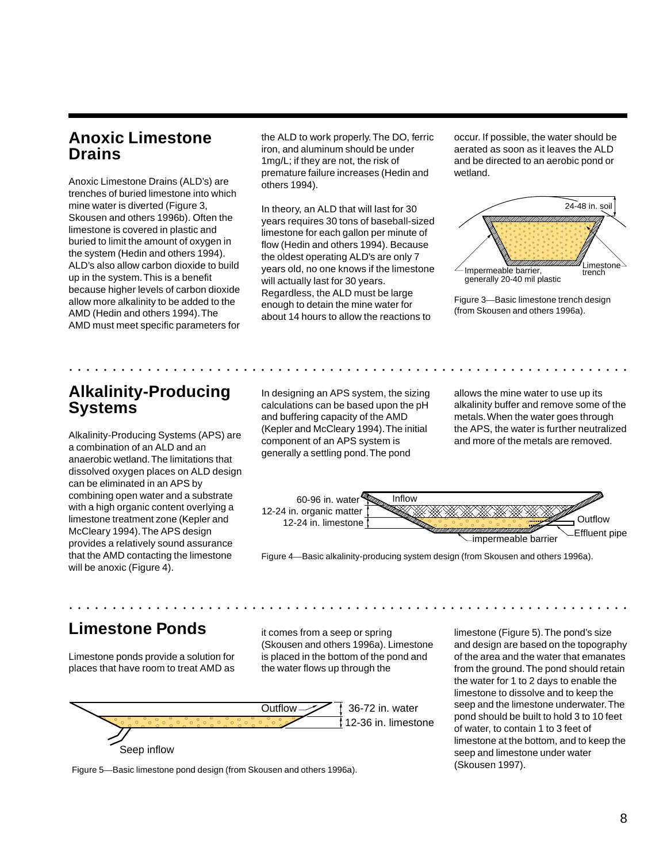### **Anoxic Limestone Drains**

Anoxic Limestone Drains (ALD's) are trenches of buried limestone into which mine water is diverted (Figure 3, Skousen and others 1996b). Often the limestone is covered in plastic and buried to limit the amount of oxygen in the system (Hedin and others 1994). ALD's also allow carbon dioxide to build up in the system. This is a benefit because higher levels of carbon dioxide allow more alkalinity to be added to the AMD (Hedin and others 1994). The AMD must meet specific parameters for the ALD to work properly. The DO, ferric iron, and aluminum should be under 1mg/L; if they are not, the risk of premature failure increases (Hedin and others 1994).

In theory, an ALD that will last for 30 years requires 30 tons of baseball-sized limestone for each gallon per minute of flow (Hedin and others 1994). Because the oldest operating ALD's are only 7 years old, no one knows if the limestone will actually last for 30 years. Regardless, the ALD must be large enough to detain the mine water for about 14 hours to allow the reactions to

occur. If possible, the water should be aerated as soon as it leaves the ALD and be directed to an aerobic pond or wetland.



Figure 3—Basic limestone trench design (from Skousen and others 1996a).

### **Alkalinity-Producing Systems**

Alkalinity-Producing Systems (APS) are a combination of an ALD and an anaerobic wetland. The limitations that dissolved oxygen places on ALD design can be eliminated in an APS by combining open water and a substrate with a high organic content overlying a limestone treatment zone (Kepler and McCleary 1994). The APS design provides a relatively sound assurance that the AMD contacting the limestone will be anoxic (Figure 4).

In designing an APS system, the sizing calculations can be based upon the pH and buffering capacity of the AMD (Kepler and McCleary 1994). The initial component of an APS system is generally a settling pond. The pond

aaaaaaaaaaaaaaaaaa aaaaaaaaaaaaaaaaaaaaaaaaaaaaaaaaaaaaaaaaaaaaaaa

allows the mine water to use up its alkalinity buffer and remove some of the metals. When the water goes through the APS, the water is further neutralized and more of the metals are removed.



Figure 4—Basic alkalinity-producing system design (from Skousen and others 1996a).

### **Limestone Ponds**

Limestone ponds provide a solution for places that have room to treat AMD as it comes from a seep or spring (Skousen and others 1996a). Limestone is placed in the bottom of the pond and the water flows up through the

aaaaaaaaaaaaaaaaaa aaaaaaaaaaaaaaaaaaaaaaaaaaaaaaaaaaaaaaaaaaaaaaa



limestone (Figure 5). The pond's size and design are based on the topography of the area and the water that emanates from the ground. The pond should retain the water for 1 to 2 days to enable the limestone to dissolve and to keep the seep and the limestone underwater. The pond should be built to hold 3 to 10 feet of water, to contain 1 to 3 feet of limestone at the bottom, and to keep the seep and limestone under water (Skousen 1997).

Figure 5—Basic limestone pond design (from Skousen and others 1996a).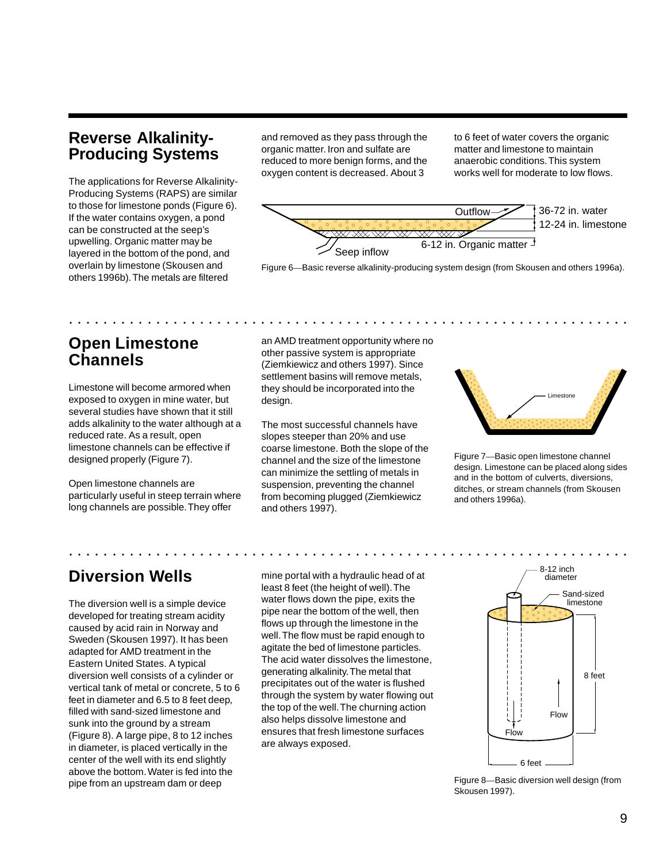### **Reverse Alkalinity-Producing Systems**

The applications for Reverse Alkalinity-Producing Systems (RAPS) are similar to those for limestone ponds (Figure 6). If the water contains oxygen, a pond can be constructed at the seep's upwelling. Organic matter may be layered in the bottom of the pond, and overlain by limestone (Skousen and others 1996b). The metals are filtered

and removed as they pass through the organic matter. Iron and sulfate are reduced to more benign forms, and the oxygen content is decreased. About 3

to 6 feet of water covers the organic matter and limestone to maintain anaerobic conditions. This system works well for moderate to low flows.



### **Open Limestone Channels**

Limestone will become armored when exposed to oxygen in mine water, but several studies have shown that it still adds alkalinity to the water although at a reduced rate. As a result, open limestone channels can be effective if designed properly (Figure 7).

Open limestone channels are particularly useful in steep terrain where long channels are possible. They offer

an AMD treatment opportunity where no other passive system is appropriate (Ziemkiewicz and others 1997). Since settlement basins will remove metals, they should be incorporated into the design.

aaaaaaaaaaaaaaaaaa aaaaaaaaaaaaaaaaaaaaaaaaaaaaaaaaaaaaaaaaaaaaaaa

The most successful channels have slopes steeper than 20% and use coarse limestone. Both the slope of the channel and the size of the limestone can minimize the settling of metals in suspension, preventing the channel from becoming plugged (Ziemkiewicz and others 1997).



Figure 7—Basic open limestone channel design. Limestone can be placed along sides and in the bottom of culverts, diversions, ditches, or stream channels (from Skousen and others 1996a).

### **Diversion Wells**

The diversion well is a simple device developed for treating stream acidity caused by acid rain in Norway and Sweden (Skousen 1997). It has been adapted for AMD treatment in the Eastern United States. A typical diversion well consists of a cylinder or vertical tank of metal or concrete, 5 to 6 feet in diameter and 6.5 to 8 feet deep, filled with sand-sized limestone and sunk into the ground by a stream (Figure 8). A large pipe, 8 to 12 inches in diameter, is placed vertically in the center of the well with its end slightly above the bottom. Water is fed into the pipe from an upstream dam or deep

mine portal with a hydraulic head of at least 8 feet (the height of well). The water flows down the pipe, exits the pipe near the bottom of the well, then flows up through the limestone in the well. The flow must be rapid enough to agitate the bed of limestone particles. The acid water dissolves the limestone, generating alkalinity. The metal that precipitates out of the water is flushed through the system by water flowing out the top of the well. The churning action also helps dissolve limestone and ensures that fresh limestone surfaces are always exposed.



Figure 8—Basic diversion well design (from Skousen 1997).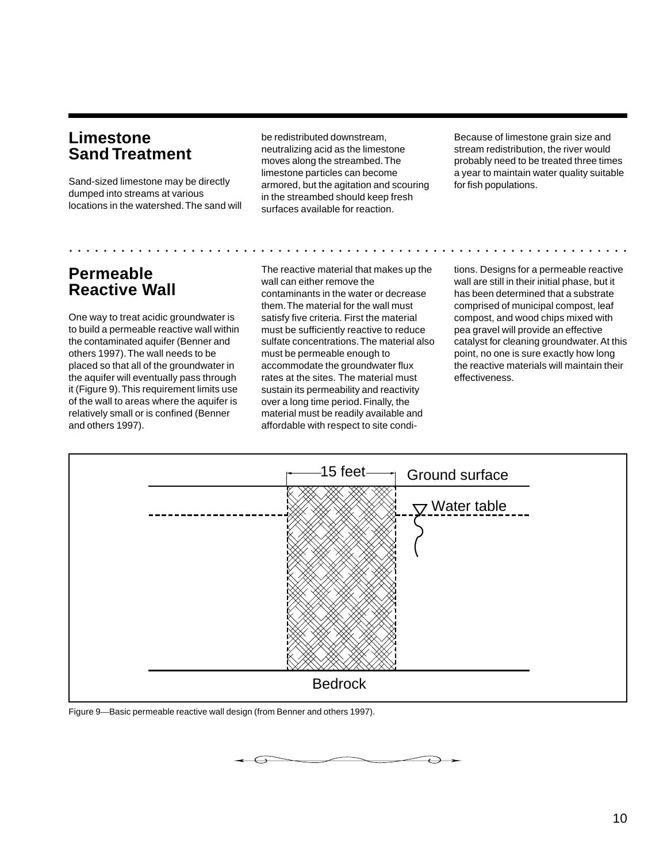### **Limestone Sand Treatment**

Sand-sized limestone may be directly dumped into streams at various locations in the watershed. The sand will be redistributed downstream, neutralizing acid as the limestone moves along the streambed. The limestone particles can become armored, but the agitation and scouring in the streambed should keep fresh surfaces available for reaction.

aaaaaaaaaaaaaaaaaa aaaaaaaaaaaaaaaaaaaaaaaaaaaaaaaaaaaaaaaaaaaaaaa

Because of limestone grain size and stream redistribution, the river would probably need to be treated three times a year to maintain water quality suitable for fish populations.

### **Permeable Reactive Wall**

One way to treat acidic groundwater is to build a permeable reactive wall within the contaminated aquifer (Benner and others 1997). The wall needs to be placed so that all of the groundwater in the aquifer will eventually pass through it (Figure 9). This requirement limits use of the wall to areas where the aquifer is relatively small or is confined (Benner and others 1997).

The reactive material that makes up the wall can either remove the contaminants in the water or decrease them. The material for the wall must satisfy five criteria. First the material must be sufficiently reactive to reduce sulfate concentrations. The material also must be permeable enough to accommodate the groundwater flux rates at the sites. The material must sustain its permeability and reactivity over a long time period. Finally, the material must be readily available and affordable with respect to site conditions. Designs for a permeable reactive wall are still in their initial phase, but it has been determined that a substrate comprised of municipal compost, leaf compost, and wood chips mixed with pea gravel will provide an effective catalyst for cleaning groundwater. At this point, no one is sure exactly how long the reactive materials will maintain their effectiveness.



 $\overline{\phantom{0}}$ 

Figure 9—Basic permeable reactive wall design (from Benner and others 1997).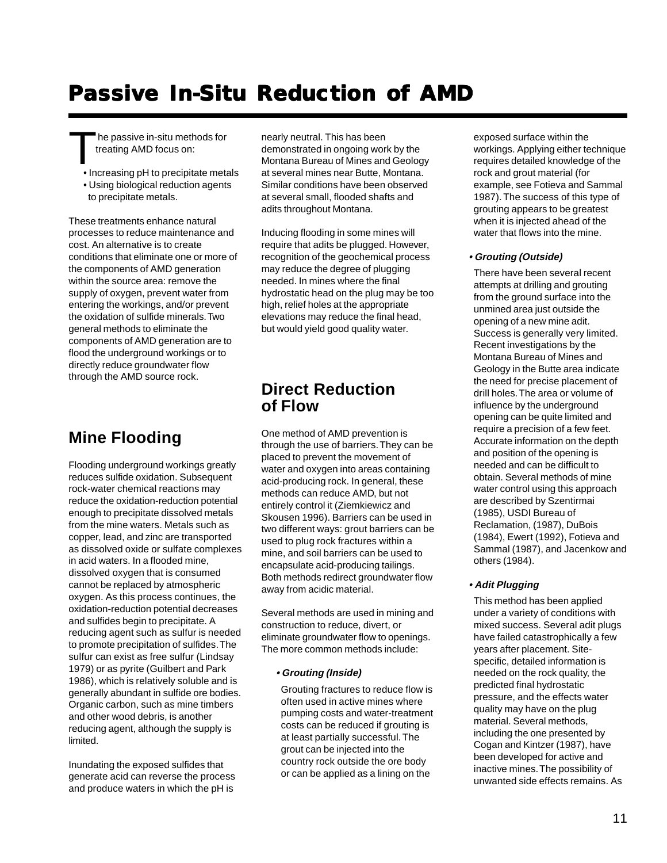## **Passive In-Situ Reduction of AMD**

The passive in-situ methods for treating AMD focus on:

- Increasing pH to precipitate metals
- Using biological reduction agents to precipitate metals.

These treatments enhance natural processes to reduce maintenance and cost. An alternative is to create conditions that eliminate one or more of the components of AMD generation within the source area: remove the supply of oxygen, prevent water from entering the workings, and/or prevent the oxidation of sulfide minerals. Two general methods to eliminate the components of AMD generation are to flood the underground workings or to directly reduce groundwater flow through the AMD source rock.

### **Mine Flooding**

Flooding underground workings greatly reduces sulfide oxidation. Subsequent rock-water chemical reactions may reduce the oxidation-reduction potential enough to precipitate dissolved metals from the mine waters. Metals such as copper, lead, and zinc are transported as dissolved oxide or sulfate complexes in acid waters. In a flooded mine, dissolved oxygen that is consumed cannot be replaced by atmospheric oxygen. As this process continues, the oxidation-reduction potential decreases and sulfides begin to precipitate. A reducing agent such as sulfur is needed to promote precipitation of sulfides. The sulfur can exist as free sulfur (Lindsay 1979) or as pyrite (Guilbert and Park 1986), which is relatively soluble and is generally abundant in sulfide ore bodies. Organic carbon, such as mine timbers and other wood debris, is another reducing agent, although the supply is limited.

Inundating the exposed sulfides that generate acid can reverse the process and produce waters in which the pH is

nearly neutral. This has been demonstrated in ongoing work by the Montana Bureau of Mines and Geology at several mines near Butte, Montana. Similar conditions have been observed at several small, flooded shafts and adits throughout Montana.

Inducing flooding in some mines will require that adits be plugged. However, recognition of the geochemical process may reduce the degree of plugging needed. In mines where the final hydrostatic head on the plug may be too high, relief holes at the appropriate elevations may reduce the final head, but would yield good quality water.

### **Direct Reduction of Flow**

One method of AMD prevention is through the use of barriers. They can be placed to prevent the movement of water and oxygen into areas containing acid-producing rock. In general, these methods can reduce AMD, but not entirely control it (Ziemkiewicz and Skousen 1996). Barriers can be used in two different ways: grout barriers can be used to plug rock fractures within a mine, and soil barriers can be used to encapsulate acid-producing tailings. Both methods redirect groundwater flow away from acidic material.

Several methods are used in mining and construction to reduce, divert, or eliminate groundwater flow to openings. The more common methods include:

#### **• Grouting (Inside)**

Grouting fractures to reduce flow is often used in active mines where pumping costs and water-treatment costs can be reduced if grouting is at least partially successful. The grout can be injected into the country rock outside the ore body or can be applied as a lining on the

exposed surface within the workings. Applying either technique requires detailed knowledge of the rock and grout material (for example, see Fotieva and Sammal 1987). The success of this type of grouting appears to be greatest when it is injected ahead of the water that flows into the mine.

#### **• Grouting (Outside)**

There have been several recent attempts at drilling and grouting from the ground surface into the unmined area just outside the opening of a new mine adit. Success is generally very limited. Recent investigations by the Montana Bureau of Mines and Geology in the Butte area indicate the need for precise placement of drill holes. The area or volume of influence by the underground opening can be quite limited and require a precision of a few feet. Accurate information on the depth and position of the opening is needed and can be difficult to obtain. Several methods of mine water control using this approach are described by Szentirmai (1985), USDI Bureau of Reclamation, (1987), DuBois (1984), Ewert (1992), Fotieva and Sammal (1987), and Jacenkow and others (1984).

#### **• Adit Plugging**

This method has been applied under a variety of conditions with mixed success. Several adit plugs have failed catastrophically a few years after placement. Sitespecific, detailed information is needed on the rock quality, the predicted final hydrostatic pressure, and the effects water quality may have on the plug material. Several methods, including the one presented by Cogan and Kintzer (1987), have been developed for active and inactive mines. The possibility of unwanted side effects remains. As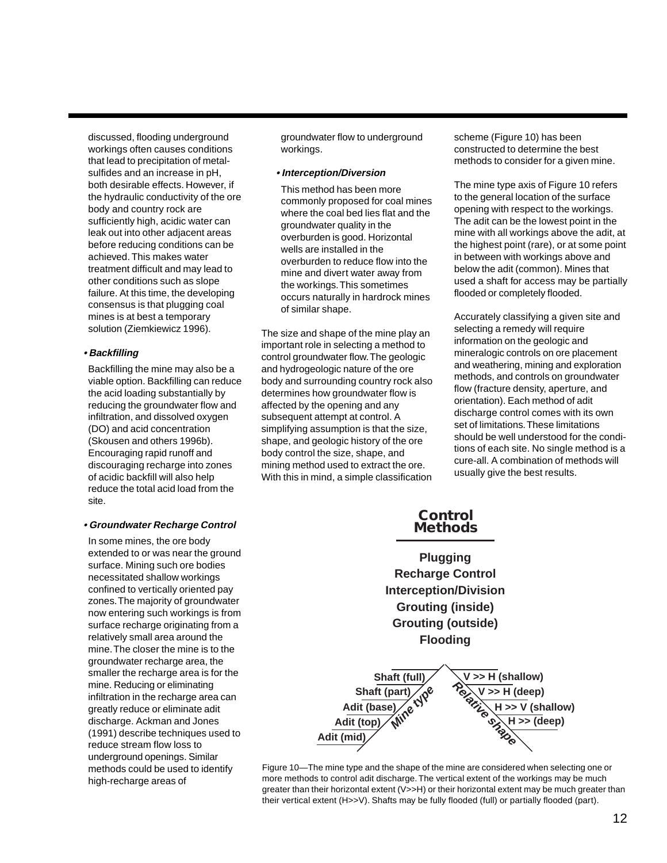discussed, flooding underground workings often causes conditions that lead to precipitation of metalsulfides and an increase in pH, both desirable effects. However, if the hydraulic conductivity of the ore body and country rock are sufficiently high, acidic water can leak out into other adjacent areas before reducing conditions can be achieved. This makes water treatment difficult and may lead to other conditions such as slope failure. At this time, the developing consensus is that plugging coal mines is at best a temporary solution (Ziemkiewicz 1996).

#### **• Backfilling**

Backfilling the mine may also be a viable option. Backfilling can reduce the acid loading substantially by reducing the groundwater flow and infiltration, and dissolved oxygen (DO) and acid concentration (Skousen and others 1996b). Encouraging rapid runoff and discouraging recharge into zones of acidic backfill will also help reduce the total acid load from the site.

#### **• Groundwater Recharge Control**

In some mines, the ore body extended to or was near the ground surface. Mining such ore bodies necessitated shallow workings confined to vertically oriented pay zones. The majority of groundwater now entering such workings is from surface recharge originating from a relatively small area around the mine. The closer the mine is to the groundwater recharge area, the smaller the recharge area is for the mine. Reducing or eliminating infiltration in the recharge area can greatly reduce or eliminate adit discharge. Ackman and Jones (1991) describe techniques used to reduce stream flow loss to underground openings. Similar methods could be used to identify high-recharge areas of

groundwater flow to underground workings.

#### **• Interception/Diversion**

This method has been more commonly proposed for coal mines where the coal bed lies flat and the groundwater quality in the overburden is good. Horizontal wells are installed in the overburden to reduce flow into the mine and divert water away from the workings. This sometimes occurs naturally in hardrock mines of similar shape.

The size and shape of the mine play an important role in selecting a method to control groundwater flow. The geologic and hydrogeologic nature of the ore body and surrounding country rock also determines how groundwater flow is affected by the opening and any subsequent attempt at control. A simplifying assumption is that the size, shape, and geologic history of the ore body control the size, shape, and mining method used to extract the ore. With this in mind, a simple classification

scheme (Figure 10) has been constructed to determine the best methods to consider for a given mine.

The mine type axis of Figure 10 refers to the general location of the surface opening with respect to the workings. The adit can be the lowest point in the mine with all workings above the adit, at the highest point (rare), or at some point in between with workings above and below the adit (common). Mines that used a shaft for access may be partially flooded or completely flooded.

Accurately classifying a given site and selecting a remedy will require information on the geologic and mineralogic controls on ore placement and weathering, mining and exploration methods, and controls on groundwater flow (fracture density, aperture, and orientation). Each method of adit discharge control comes with its own set of limitations. These limitations should be well understood for the conditions of each site. No single method is a cure-all. A combination of methods will usually give the best results.

**Adit (mid)** Shaft (full)<br>
ft (part)<br>
(asse)<br>
(*Relation*)<br>
(*Relation*)<br>
(*Relation*)<br>
(*Relation*)<br>
(*Relation*) **Shaft (part)**<br> **Mither the type**<br> **Mine type Adit (base) Adit (top) Methods H >> (deep) Plugging Recharge Control Interception/Division Grouting (inside) Grouting (outside) Flooding V >> H (shallow) V >> H (deep) H >> V (shallow)**

**Control**

Figure 10—The mine type and the shape of the mine are considered when selecting one or more methods to control adit discharge. The vertical extent of the workings may be much greater than their horizontal extent (V>>H) or their horizontal extent may be much greater than their vertical extent (H>>V). Shafts may be fully flooded (full) or partially flooded (part).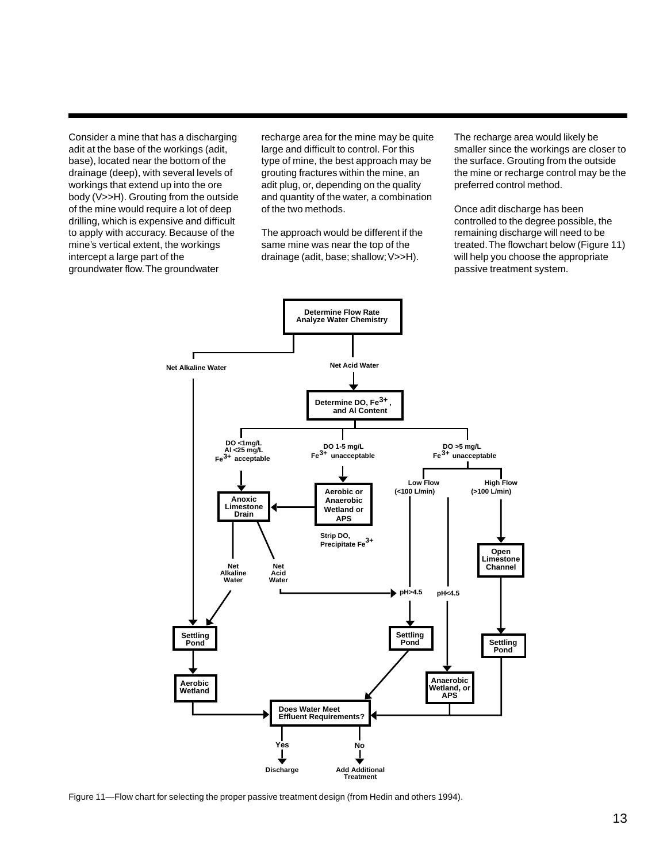Consider a mine that has a discharging adit at the base of the workings (adit, base), located near the bottom of the drainage (deep), with several levels of workings that extend up into the ore body (V>>H). Grouting from the outside of the mine would require a lot of deep drilling, which is expensive and difficult to apply with accuracy. Because of the mine's vertical extent, the workings intercept a large part of the groundwater flow. The groundwater

recharge area for the mine may be quite large and difficult to control. For this type of mine, the best approach may be grouting fractures within the mine, an adit plug, or, depending on the quality and quantity of the water, a combination of the two methods.

The approach would be different if the same mine was near the top of the drainage (adit, base; shallow; V>>H).

The recharge area would likely be smaller since the workings are closer to the surface. Grouting from the outside the mine or recharge control may be the preferred control method.

Once adit discharge has been controlled to the degree possible, the remaining discharge will need to be treated. The flowchart below (Figure 11) will help you choose the appropriate passive treatment system.



Figure 11—Flow chart for selecting the proper passive treatment design (from Hedin and others 1994).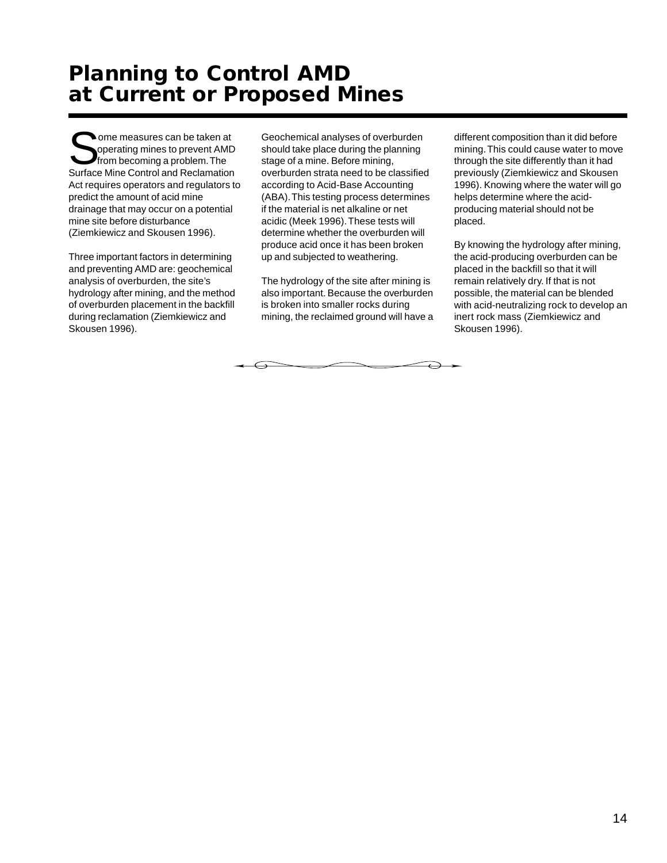## **Planning to Control AMD at Current or Proposed Mines**

**Some measures can be taken at** operating mines to prevent AMD from becoming a problem. The Surface Mine Control and Reclamation Act requires operators and regulators to predict the amount of acid mine drainage that may occur on a potential mine site before disturbance (Ziemkiewicz and Skousen 1996).

Three important factors in determining and preventing AMD are: geochemical analysis of overburden, the site's hydrology after mining, and the method of overburden placement in the backfill during reclamation (Ziemkiewicz and Skousen 1996).

Geochemical analyses of overburden should take place during the planning stage of a mine. Before mining, overburden strata need to be classified according to Acid-Base Accounting (ABA). This testing process determines if the material is net alkaline or net acidic (Meek 1996). These tests will determine whether the overburden will produce acid once it has been broken up and subjected to weathering.

The hydrology of the site after mining is also important. Because the overburden is broken into smaller rocks during mining, the reclaimed ground will have a

 $\overline{\phantom{0}}$ 

different composition than it did before mining. This could cause water to move through the site differently than it had previously (Ziemkiewicz and Skousen 1996). Knowing where the water will go helps determine where the acidproducing material should not be placed.

By knowing the hydrology after mining, the acid-producing overburden can be placed in the backfill so that it will remain relatively dry. If that is not possible, the material can be blended with acid-neutralizing rock to develop an inert rock mass (Ziemkiewicz and Skousen 1996).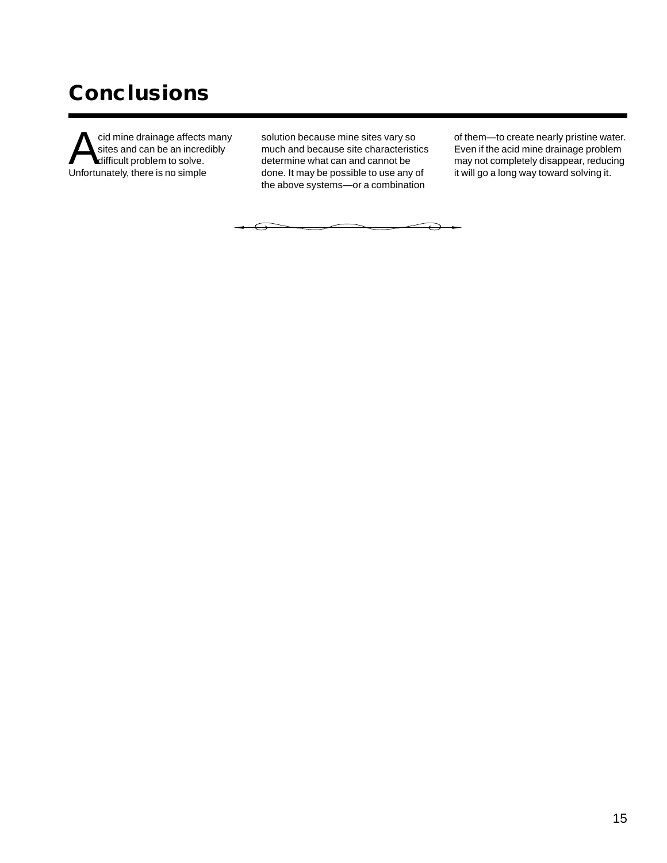# **Conclusions**

cid mine drainage affects many<br>sites and can be an incredibly<br>Unfortunately there is no simple sites and can be an incredibly difficult problem to solve. Unfortunately, there is no simple

solution because mine sites vary so much and because site characteristics determine what can and cannot be done. It may be possible to use any of the above systems—or a combination

of them—to create nearly pristine water. Even if the acid mine drainage problem may not completely disappear, reducing it will go a long way toward solving it.

 $\ominus$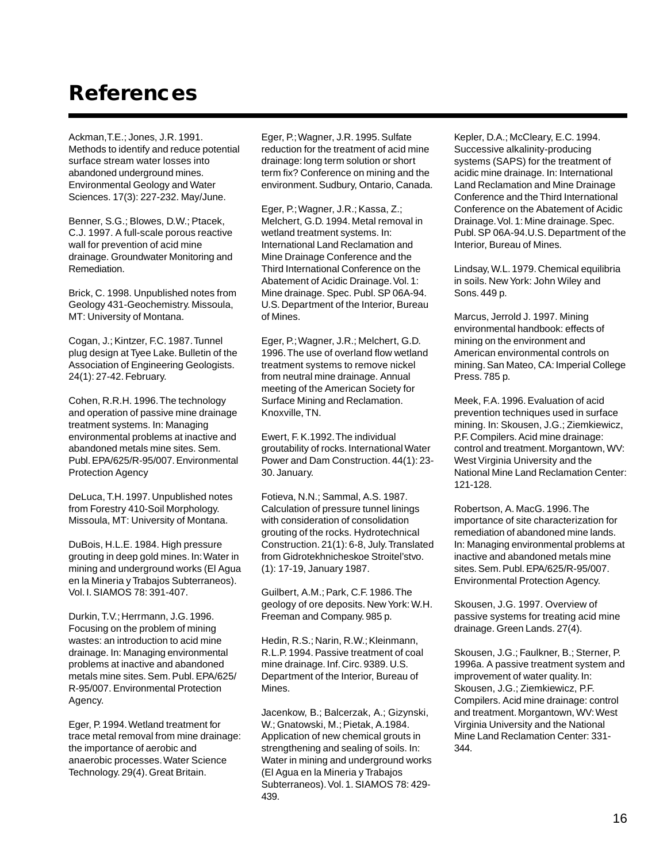## **References**

Ackman,T.E.; Jones, J.R. 1991. Methods to identify and reduce potential surface stream water losses into abandoned underground mines. Environmental Geology and Water Sciences. 17(3): 227-232. May/June.

Benner, S.G.; Blowes, D.W.; Ptacek, C.J. 1997. A full-scale porous reactive wall for prevention of acid mine drainage. Groundwater Monitoring and Remediation.

Brick, C. 1998. Unpublished notes from Geology 431-Geochemistry. Missoula, MT: University of Montana.

Cogan, J.; Kintzer, F.C. 1987. Tunnel plug design at Tyee Lake. Bulletin of the Association of Engineering Geologists. 24(1): 27-42. February.

Cohen, R.R.H. 1996. The technology and operation of passive mine drainage treatment systems. In: Managing environmental problems at inactive and abandoned metals mine sites. Sem. Publ. EPA/625/R-95/007. Environmental Protection Agency

DeLuca, T.H. 1997. Unpublished notes from Forestry 410-Soil Morphology. Missoula, MT: University of Montana.

DuBois, H.L.E. 1984. High pressure grouting in deep gold mines. In: Water in mining and underground works (El Agua en la Mineria y Trabajos Subterraneos). Vol. I. SIAMOS 78: 391-407.

Durkin, T.V.; Herrmann, J.G. 1996. Focusing on the problem of mining wastes: an introduction to acid mine drainage. In: Managing environmental problems at inactive and abandoned metals mine sites. Sem. Publ. EPA/625/ R-95/007. Environmental Protection Agency.

Eger, P. 1994. Wetland treatment for trace metal removal from mine drainage: the importance of aerobic and anaerobic processes. Water Science Technology. 29(4). Great Britain.

Eger, P.; Wagner, J.R. 1995. Sulfate reduction for the treatment of acid mine drainage: long term solution or short term fix? Conference on mining and the environment. Sudbury, Ontario, Canada.

Eger, P.; Wagner, J.R.; Kassa, Z.; Melchert, G.D. 1994. Metal removal in wetland treatment systems. In: International Land Reclamation and Mine Drainage Conference and the Third International Conference on the Abatement of Acidic Drainage. Vol. 1: Mine drainage. Spec. Publ. SP 06A-94. U.S. Department of the Interior, Bureau of Mines.

Eger, P.; Wagner, J.R.; Melchert, G.D. 1996. The use of overland flow wetland treatment systems to remove nickel from neutral mine drainage. Annual meeting of the American Society for Surface Mining and Reclamation. Knoxville, TN.

Ewert, F. K.1992. The individual groutability of rocks. International Water Power and Dam Construction. 44(1): 23- 30. January.

Fotieva, N.N.; Sammal, A.S. 1987. Calculation of pressure tunnel linings with consideration of consolidation grouting of the rocks. Hydrotechnical Construction. 21(1): 6-8, July. Translated from Gidrotekhnicheskoe Stroitel'stvo. (1): 17-19, January 1987.

Guilbert, A.M.; Park, C.F. 1986. The geology of ore deposits. New York: W.H. Freeman and Company. 985 p.

Hedin, R.S.; Narin, R.W.; Kleinmann, R.L.P. 1994. Passive treatment of coal mine drainage. Inf. Circ. 9389. U.S. Department of the Interior, Bureau of Mines.

Jacenkow, B.; Balcerzak, A.; Gizynski, W.; Gnatowski, M.; Pietak, A.1984. Application of new chemical grouts in strengthening and sealing of soils. In: Water in mining and underground works (El Agua en la Mineria y Trabajos Subterraneos). Vol. 1. SIAMOS 78: 429- 439.

Kepler, D.A.; McCleary, E.C. 1994. Successive alkalinity-producing systems (SAPS) for the treatment of acidic mine drainage. In: International Land Reclamation and Mine Drainage Conference and the Third International Conference on the Abatement of Acidic Drainage. Vol. 1: Mine drainage. Spec. Publ. SP 06A-94.U.S. Department of the Interior, Bureau of Mines.

Lindsay, W.L. 1979. Chemical equilibria in soils. New York: John Wiley and Sons. 449 p.

Marcus, Jerrold J. 1997. Mining environmental handbook: effects of mining on the environment and American environmental controls on mining. San Mateo, CA: Imperial College Press. 785 p.

Meek, F.A. 1996. Evaluation of acid prevention techniques used in surface mining. In: Skousen, J.G.; Ziemkiewicz, P.F. Compilers. Acid mine drainage: control and treatment. Morgantown, WV: West Virginia University and the National Mine Land Reclamation Center: 121-128.

Robertson, A. MacG. 1996. The importance of site characterization for remediation of abandoned mine lands. In: Managing environmental problems at inactive and abandoned metals mine sites. Sem. Publ. EPA/625/R-95/007. Environmental Protection Agency.

Skousen, J.G. 1997. Overview of passive systems for treating acid mine drainage. Green Lands. 27(4).

Skousen, J.G.; Faulkner, B.; Sterner, P. 1996a. A passive treatment system and improvement of water quality. In: Skousen, J.G.; Ziemkiewicz, P.F. Compilers. Acid mine drainage: control and treatment. Morgantown, WV: West Virginia University and the National Mine Land Reclamation Center: 331- 344.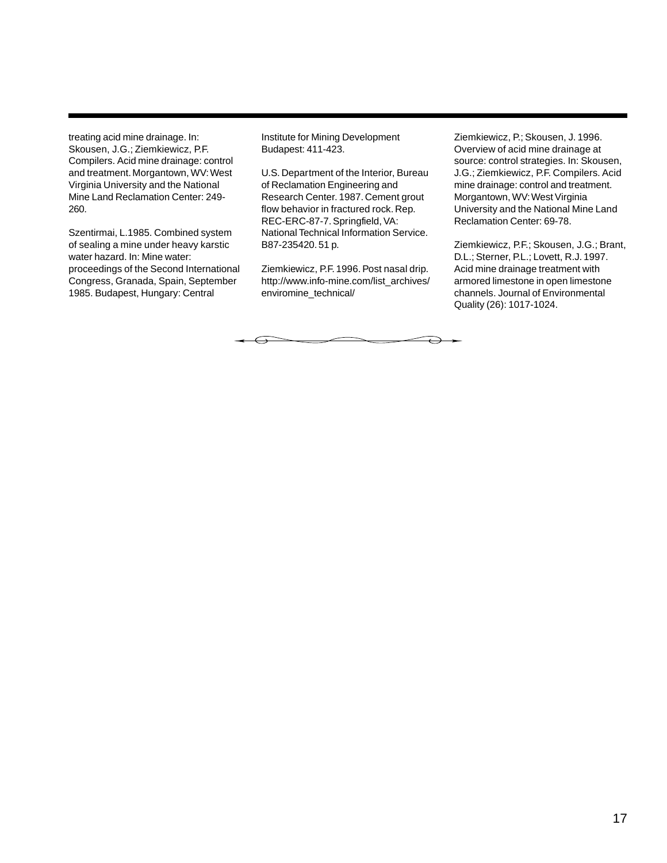treating acid mine drainage. In: Skousen, J.G.; Ziemkiewicz, P.F. Compilers. Acid mine drainage: control and treatment. Morgantown, WV: West Virginia University and the National Mine Land Reclamation Center: 249- 260.

Szentirmai, L.1985. Combined system of sealing a mine under heavy karstic water hazard. In: Mine water: proceedings of the Second International Congress, Granada, Spain, September 1985. Budapest, Hungary: Central

Institute for Mining Development Budapest: 411-423.

U.S. Department of the Interior, Bureau of Reclamation Engineering and Research Center. 1987. Cement grout flow behavior in fractured rock. Rep. REC-ERC-87-7. Springfield, VA: National Technical Information Service. B87-235420. 51 p.

Ziemkiewicz, P.F. 1996. Post nasal drip. http://www.info-mine.com/list\_archives/ enviromine\_technical/

 $\overline{\phantom{a}}$ 

Ziemkiewicz, P.; Skousen, J. 1996. Overview of acid mine drainage at source: control strategies. In: Skousen, J.G.; Ziemkiewicz, P.F. Compilers. Acid mine drainage: control and treatment. Morgantown, WV: West Virginia University and the National Mine Land Reclamation Center: 69-78.

Ziemkiewicz, P.F.; Skousen, J.G.; Brant, D.L.; Sterner, P.L.; Lovett, R.J. 1997. Acid mine drainage treatment with armored limestone in open limestone channels. Journal of Environmental Quality (26): 1017-1024.